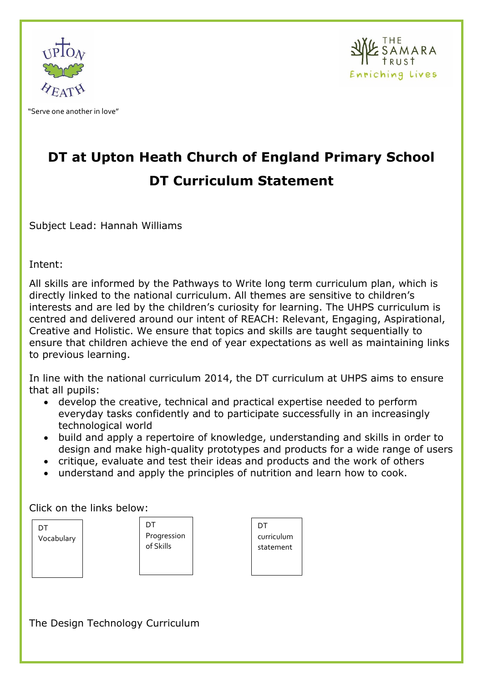

"Serve one another in love"



# **DT at Upton Heath Church of England Primary School DT Curriculum Statement**

Subject Lead: Hannah Williams

Intent:

All skills are informed by the Pathways to Write long term curriculum plan, which is directly linked to the national curriculum. All themes are sensitive to children's interests and are led by the children's curiosity for learning. The UHPS curriculum is centred and delivered around our intent of REACH: Relevant, Engaging, Aspirational, Creative and Holistic. We ensure that topics and skills are taught sequentially to ensure that children achieve the end of year expectations as well as maintaining links to previous learning.

In line with the national curriculum 2014, the DT curriculum at UHPS aims to ensure that all pupils:

- develop the creative, technical and practical expertise needed to perform everyday tasks confidently and to participate successfully in an increasingly technological world
- build and apply a repertoire of knowledge, understanding and skills in order to design and make high-quality prototypes and products for a wide range of users
- critique, evaluate and test their ideas and products and the work of others
- understand and apply the principles of nutrition and learn how to cook.

Click on the links below:

 $DT$ Vocabulary **DT** Progression of Skills



The Design Technology Curriculum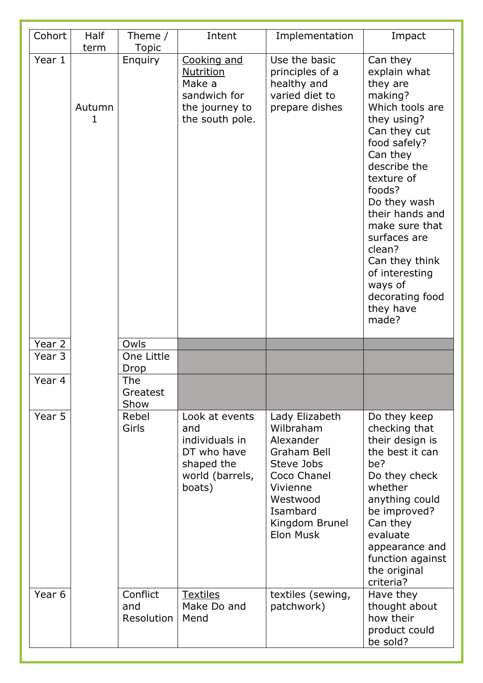| Cohort            | <b>Half</b><br>term | Theme /<br><b>Topic</b>        | Intent                                                                                            | Implementation                                                                                                                                                        | Impact                                                                                                                                                                                                                                                                                                                                       |
|-------------------|---------------------|--------------------------------|---------------------------------------------------------------------------------------------------|-----------------------------------------------------------------------------------------------------------------------------------------------------------------------|----------------------------------------------------------------------------------------------------------------------------------------------------------------------------------------------------------------------------------------------------------------------------------------------------------------------------------------------|
| Year 1            | Autumn<br>1         | Enquiry                        | Cooking and<br><b>Nutrition</b><br>Make a<br>sandwich for<br>the journey to<br>the south pole.    | Use the basic<br>principles of a<br>healthy and<br>varied diet to<br>prepare dishes                                                                                   | Can they<br>explain what<br>they are<br>making?<br>Which tools are<br>they using?<br>Can they cut<br>food safely?<br>Can they<br>describe the<br>texture of<br>foods?<br>Do they wash<br>their hands and<br>make sure that<br>surfaces are<br>clean?<br>Can they think<br>of interesting<br>ways of<br>decorating food<br>they have<br>made? |
| Year 2            |                     | Owls                           |                                                                                                   |                                                                                                                                                                       |                                                                                                                                                                                                                                                                                                                                              |
| Year 3            |                     | One Little<br>Drop             |                                                                                                   |                                                                                                                                                                       |                                                                                                                                                                                                                                                                                                                                              |
| Year 4            |                     | <b>The</b><br>Greatest<br>Show |                                                                                                   |                                                                                                                                                                       |                                                                                                                                                                                                                                                                                                                                              |
| Year 5            |                     | Rebel<br>Girls                 | Look at events<br>and<br>individuals in<br>DT who have<br>shaped the<br>world (barrels,<br>boats) | Lady Elizabeth<br>Wilbraham<br>Alexander<br><b>Graham Bell</b><br>Steve Jobs<br>Coco Chanel<br>Vivienne<br>Westwood<br>Isambard<br>Kingdom Brunel<br><b>Elon Musk</b> | Do they keep<br>checking that<br>their design is<br>the best it can<br>be?<br>Do they check<br>whether<br>anything could<br>be improved?<br>Can they<br>evaluate<br>appearance and<br>function against<br>the original<br>criteria?                                                                                                          |
| Year <sub>6</sub> |                     | Conflict<br>and<br>Resolution  | <b>Textiles</b><br>Make Do and<br>Mend                                                            | textiles (sewing,<br>patchwork)                                                                                                                                       | Have they<br>thought about<br>how their<br>product could<br>be sold?                                                                                                                                                                                                                                                                         |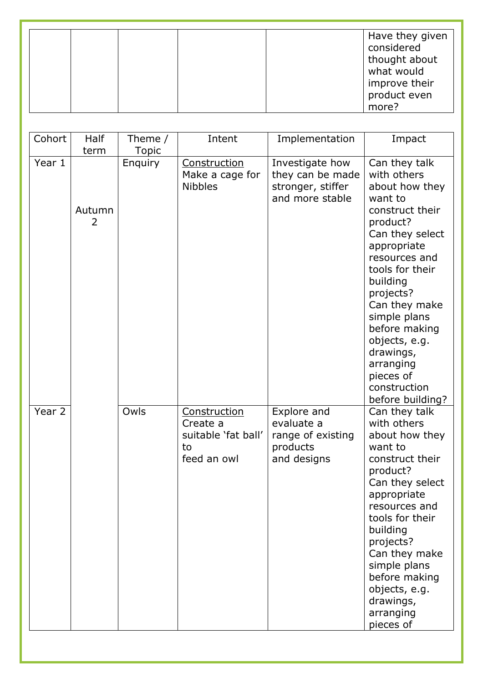|  |  | Have they given<br>considered<br>thought about<br>what would<br>improve their<br>product even |
|--|--|-----------------------------------------------------------------------------------------------|
|  |  | more?                                                                                         |

| Cohort | Half        | Theme /        | Intent                                                               | Implementation                                                              | Impact                                                                                                                                                                                                                                                                                                                                |
|--------|-------------|----------------|----------------------------------------------------------------------|-----------------------------------------------------------------------------|---------------------------------------------------------------------------------------------------------------------------------------------------------------------------------------------------------------------------------------------------------------------------------------------------------------------------------------|
|        | term        | <b>Topic</b>   |                                                                      |                                                                             |                                                                                                                                                                                                                                                                                                                                       |
| Year 1 | Autumn<br>2 | <b>Enquiry</b> | Construction<br>Make a cage for<br><b>Nibbles</b>                    | Investigate how<br>they can be made<br>stronger, stiffer<br>and more stable | Can they talk<br>with others<br>about how they<br>want to<br>construct their<br>product?<br>Can they select<br>appropriate<br>resources and<br>tools for their<br>building<br>projects?<br>Can they make<br>simple plans<br>before making<br>objects, e.g.<br>drawings,<br>arranging<br>pieces of<br>construction<br>before building? |
| Year 2 |             | Owls           | Construction<br>Create a<br>suitable 'fat ball'<br>to<br>feed an owl | Explore and<br>evaluate a<br>range of existing<br>products<br>and designs   | Can they talk<br>with others<br>about how they<br>want to<br>construct their<br>product?<br>Can they select<br>appropriate<br>resources and<br>tools for their<br>building<br>projects?<br>Can they make<br>simple plans<br>before making<br>objects, e.g.<br>drawings,<br>arranging<br>pieces of                                     |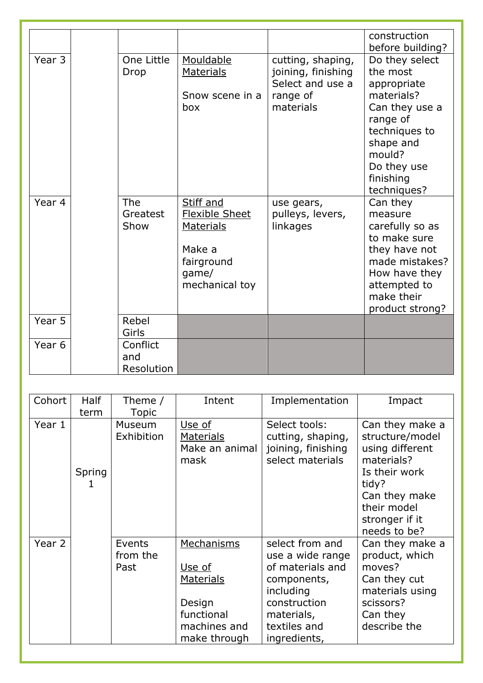|                   |                               |                                                                                                           |                                                                                      | construction                                                                                                                                                                                 |
|-------------------|-------------------------------|-----------------------------------------------------------------------------------------------------------|--------------------------------------------------------------------------------------|----------------------------------------------------------------------------------------------------------------------------------------------------------------------------------------------|
| Year 3            | One Little<br>Drop            | Mouldable<br><b>Materials</b><br>Snow scene in a<br>box                                                   | cutting, shaping,<br>joining, finishing<br>Select and use a<br>range of<br>materials | before building?<br>Do they select<br>the most<br>appropriate<br>materials?<br>Can they use a<br>range of<br>techniques to<br>shape and<br>mould?<br>Do they use<br>finishing<br>techniques? |
| Year 4            | The<br>Greatest<br>Show       | Stiff and<br><b>Flexible Sheet</b><br><b>Materials</b><br>Make a<br>fairground<br>game/<br>mechanical toy | use gears,<br>pulleys, levers,<br>linkages                                           | Can they<br>measure<br>carefully so as<br>to make sure<br>they have not<br>made mistakes?<br>How have they<br>attempted to<br>make their<br>product strong?                                  |
| Year 5            | Rebel<br>Girls                |                                                                                                           |                                                                                      |                                                                                                                                                                                              |
| Year <sub>6</sub> | Conflict<br>and<br>Resolution |                                                                                                           |                                                                                      |                                                                                                                                                                                              |

| Cohort | <b>Half</b> | Theme /                     | Intent                                                                                           | Implementation                                                                                                                                    | Impact                                                                                                                                                          |
|--------|-------------|-----------------------------|--------------------------------------------------------------------------------------------------|---------------------------------------------------------------------------------------------------------------------------------------------------|-----------------------------------------------------------------------------------------------------------------------------------------------------------------|
|        | term        | Topic                       |                                                                                                  |                                                                                                                                                   |                                                                                                                                                                 |
| Year 1 | Spring      | <b>Museum</b><br>Exhibition | Use of<br><b>Materials</b><br>Make an animal<br>mask                                             | Select tools:<br>cutting, shaping,<br>joining, finishing<br>select materials                                                                      | Can they make a<br>structure/model<br>using different<br>materials?<br>Is their work<br>tidy?<br>Can they make<br>their model<br>stronger if it<br>needs to be? |
| Year 2 |             | Events<br>from the<br>Past  | Mechanisms<br>Use of<br><b>Materials</b><br>Design<br>functional<br>machines and<br>make through | select from and<br>use a wide range<br>of materials and<br>components,<br>including<br>construction<br>materials,<br>textiles and<br>ingredients, | Can they make a<br>product, which<br>moves?<br>Can they cut<br>materials using<br>scissors?<br>Can they<br>describe the                                         |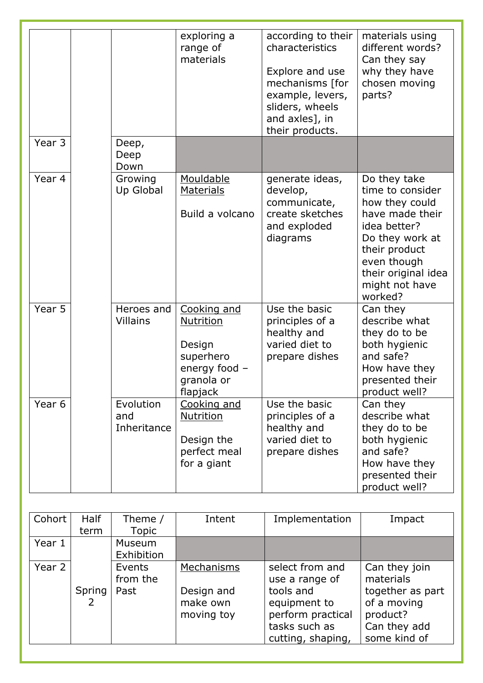|        |                                 | exploring a<br>range of<br>materials                                                       | according to their<br>characteristics<br>Explore and use<br>mechanisms [for<br>example, levers,<br>sliders, wheels<br>and axles], in<br>their products. | materials using<br>different words?<br>Can they say<br>why they have<br>chosen moving<br>parts?                                                                                              |
|--------|---------------------------------|--------------------------------------------------------------------------------------------|---------------------------------------------------------------------------------------------------------------------------------------------------------|----------------------------------------------------------------------------------------------------------------------------------------------------------------------------------------------|
| Year 3 | Deep,<br>Deep<br>Down           |                                                                                            |                                                                                                                                                         |                                                                                                                                                                                              |
| Year 4 | Growing<br>Up Global            | <b>Mouldable</b><br><b>Materials</b><br>Build a volcano                                    | generate ideas,<br>develop,<br>communicate,<br>create sketches<br>and exploded<br>diagrams                                                              | Do they take<br>time to consider<br>how they could<br>have made their<br>idea better?<br>Do they work at<br>their product<br>even though<br>their original idea<br>might not have<br>worked? |
| Year 5 | Heroes and<br><b>Villains</b>   | Cooking and<br>Nutrition<br>Design<br>superhero<br>energy food -<br>granola or<br>flapjack | Use the basic<br>principles of a<br>healthy and<br>varied diet to<br>prepare dishes                                                                     | Can they<br>describe what<br>they do to be<br>both hygienic<br>and safe?<br>How have they<br>presented their<br>product well?                                                                |
| Year 6 | Evolution<br>and<br>Inheritance | Cooking and<br>Nutrition<br>Design the<br>perfect meal<br>for a giant                      | Use the basic<br>principles of a<br>healthy and<br>varied diet to<br>prepare dishes                                                                     | Can they<br>describe what<br>they do to be<br>both hygienic<br>and safe?<br>How have they<br>presented their<br>product well?                                                                |

| Cohort | Half   | Theme /                    | Intent                                             | Implementation                                                                                                            | Impact                                                                                                    |
|--------|--------|----------------------------|----------------------------------------------------|---------------------------------------------------------------------------------------------------------------------------|-----------------------------------------------------------------------------------------------------------|
|        | term   | <b>Topic</b>               |                                                    |                                                                                                                           |                                                                                                           |
| Year 1 |        | Museum                     |                                                    |                                                                                                                           |                                                                                                           |
|        |        | Exhibition                 |                                                    |                                                                                                                           |                                                                                                           |
| Year 2 | Spring | Events<br>from the<br>Past | Mechanisms<br>Design and<br>make own<br>moving toy | select from and<br>use a range of<br>tools and<br>equipment to<br>perform practical<br>tasks such as<br>cutting, shaping, | Can they join<br>materials<br>together as part<br>of a moving<br>product?<br>Can they add<br>some kind of |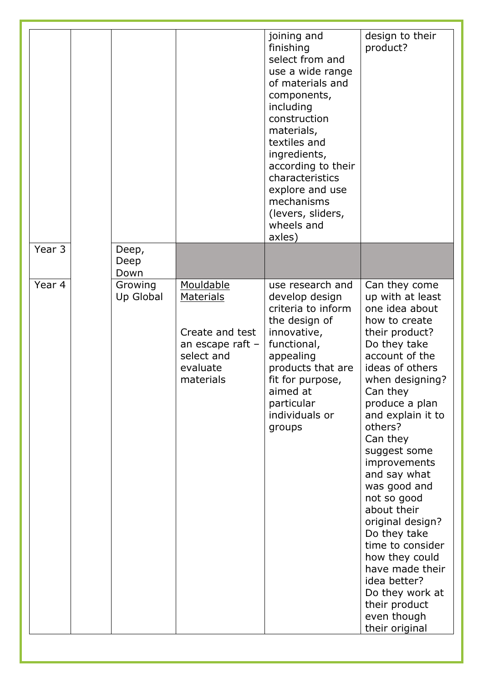|        |                       |                                                                                                                    | joining and<br>finishing<br>select from and<br>use a wide range<br>of materials and<br>components,<br>including<br>construction<br>materials,<br>textiles and<br>ingredients,<br>according to their<br>characteristics<br>explore and use<br>mechanisms<br>(levers, sliders,<br>wheels and<br>axles) | design to their<br>product?                                                                                                                                                                                                                                                                                                                                                                                                                                                                                              |
|--------|-----------------------|--------------------------------------------------------------------------------------------------------------------|------------------------------------------------------------------------------------------------------------------------------------------------------------------------------------------------------------------------------------------------------------------------------------------------------|--------------------------------------------------------------------------------------------------------------------------------------------------------------------------------------------------------------------------------------------------------------------------------------------------------------------------------------------------------------------------------------------------------------------------------------------------------------------------------------------------------------------------|
| Year 3 | Deep,<br>Deep<br>Down |                                                                                                                    |                                                                                                                                                                                                                                                                                                      |                                                                                                                                                                                                                                                                                                                                                                                                                                                                                                                          |
| Year 4 | Growing<br>Up Global  | <b>Mouldable</b><br><b>Materials</b><br>Create and test<br>an escape raft -<br>select and<br>evaluate<br>materials | use research and<br>develop design<br>criteria to inform<br>the design of<br>innovative,<br>functional,<br>appealing<br>products that are<br>fit for purpose,<br>aimed at<br>particular<br>individuals or<br>groups                                                                                  | Can they come<br>up with at least<br>one idea about<br>how to create<br>their product?<br>Do they take<br>account of the<br>ideas of others<br>when designing?<br>Can they<br>produce a plan<br>and explain it to<br>others?<br>Can they<br>suggest some<br>improvements<br>and say what<br>was good and<br>not so good<br>about their<br>original design?<br>Do they take<br>time to consider<br>how they could<br>have made their<br>idea better?<br>Do they work at<br>their product<br>even though<br>their original |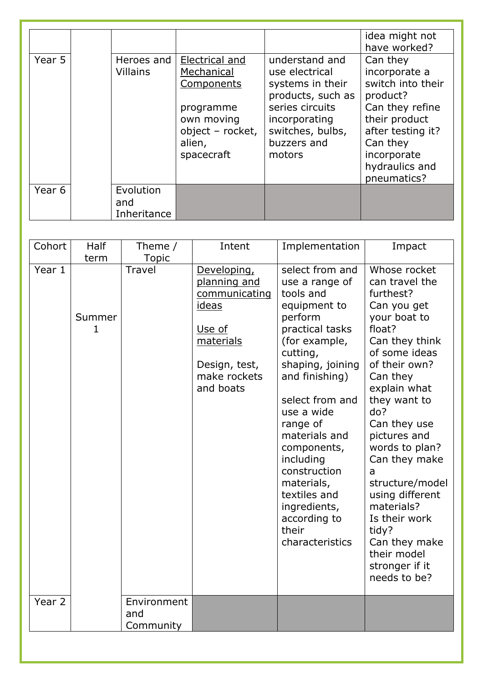|        |                 |                  |                   | idea might not    |
|--------|-----------------|------------------|-------------------|-------------------|
|        |                 |                  |                   | have worked?      |
| Year 5 | Heroes and      | Electrical and   | understand and    | Can they          |
|        | <b>Villains</b> | Mechanical       | use electrical    | incorporate a     |
|        |                 | Components       | systems in their  | switch into their |
|        |                 |                  | products, such as | product?          |
|        |                 | programme        | series circuits   | Can they refine   |
|        |                 | own moving       | incorporating     | their product     |
|        |                 | object - rocket, | switches, bulbs,  | after testing it? |
|        |                 | alien,           | buzzers and       | Can they          |
|        |                 | spacecraft       | motors            | incorporate       |
|        |                 |                  |                   | hydraulics and    |
|        |                 |                  |                   | pneumatics?       |
| Year 6 | Evolution       |                  |                   |                   |
|        | and             |                  |                   |                   |
|        | Inheritance     |                  |                   |                   |

| Cohort           | Half<br>term | Theme /<br><b>Topic</b> | Intent                                                                                                                     | Implementation                                                                                                                                                                                                                                                                                                                                                      | Impact                                                                                                                                                                                                                                                                                                                                                                                                              |
|------------------|--------------|-------------------------|----------------------------------------------------------------------------------------------------------------------------|---------------------------------------------------------------------------------------------------------------------------------------------------------------------------------------------------------------------------------------------------------------------------------------------------------------------------------------------------------------------|---------------------------------------------------------------------------------------------------------------------------------------------------------------------------------------------------------------------------------------------------------------------------------------------------------------------------------------------------------------------------------------------------------------------|
| Year 1<br>Year 2 | Summer<br>1  | Travel<br>Environment   | Developing,<br>planning and<br>communicating<br>ideas<br>Use of<br>materials<br>Design, test,<br>make rockets<br>and boats | select from and<br>use a range of<br>tools and<br>equipment to<br>perform<br>practical tasks<br>(for example,<br>cutting,<br>shaping, joining<br>and finishing)<br>select from and<br>use a wide<br>range of<br>materials and<br>components,<br>including<br>construction<br>materials,<br>textiles and<br>ingredients,<br>according to<br>their<br>characteristics | Whose rocket<br>can travel the<br>furthest?<br>Can you get<br>your boat to<br>float?<br>Can they think<br>of some ideas<br>of their own?<br>Can they<br>explain what<br>they want to<br>do?<br>Can they use<br>pictures and<br>words to plan?<br>Can they make<br>a<br>structure/model<br>using different<br>materials?<br>Is their work<br>tidy?<br>Can they make<br>their model<br>stronger if it<br>needs to be? |
|                  |              | and<br>Community        |                                                                                                                            |                                                                                                                                                                                                                                                                                                                                                                     |                                                                                                                                                                                                                                                                                                                                                                                                                     |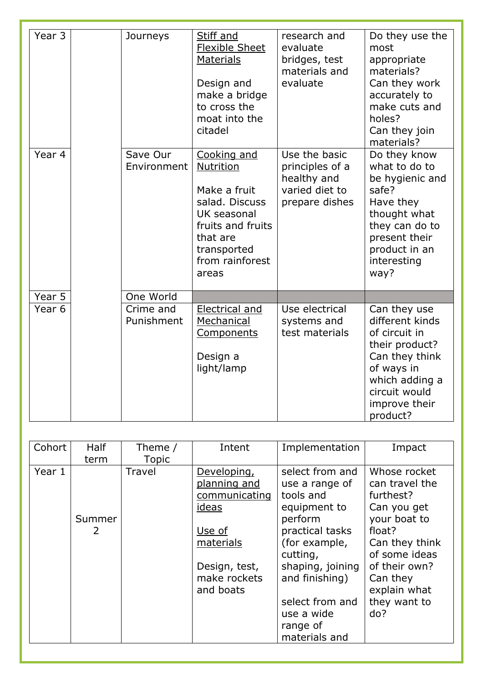| Year <sub>3</sub> | Journeys                | Stiff and<br><b>Flexible Sheet</b><br><b>Materials</b><br>Design and<br>make a bridge<br>to cross the<br>moat into the<br>citadel                     | research and<br>evaluate<br>bridges, test<br>materials and<br>evaluate              | Do they use the<br>most<br>appropriate<br>materials?<br>Can they work<br>accurately to<br>make cuts and<br>holes?<br>Can they join<br>materials?                   |
|-------------------|-------------------------|-------------------------------------------------------------------------------------------------------------------------------------------------------|-------------------------------------------------------------------------------------|--------------------------------------------------------------------------------------------------------------------------------------------------------------------|
| Year 4            | Save Our<br>Environment | Cooking and<br>Nutrition<br>Make a fruit<br>salad. Discuss<br>UK seasonal<br>fruits and fruits<br>that are<br>transported<br>from rainforest<br>areas | Use the basic<br>principles of a<br>healthy and<br>varied diet to<br>prepare dishes | Do they know<br>what to do to<br>be hygienic and<br>safe?<br>Have they<br>thought what<br>they can do to<br>present their<br>product in an<br>interesting<br>way?  |
| Year 5            | One World               |                                                                                                                                                       |                                                                                     |                                                                                                                                                                    |
| Year <sub>6</sub> | Crime and<br>Punishment | Electrical and<br>Mechanical<br><b>Components</b><br>Design a<br>light/lamp                                                                           | Use electrical<br>systems and<br>test materials                                     | Can they use<br>different kinds<br>of circuit in<br>their product?<br>Can they think<br>of ways in<br>which adding a<br>circuit would<br>improve their<br>product? |

| Cohort | <b>Half</b>               | Theme /      | Intent        | Implementation   | Impact         |
|--------|---------------------------|--------------|---------------|------------------|----------------|
|        | term                      | <b>Topic</b> |               |                  |                |
| Year 1 |                           | Travel       | Developing,   | select from and  | Whose rocket   |
|        |                           |              | planning and  | use a range of   | can travel the |
|        |                           |              | communicating | tools and        | furthest?      |
|        |                           |              | ideas         | equipment to     | Can you get    |
|        | Summer                    |              |               | perform          | your boat to   |
|        | $\mathbf{2}^{\mathsf{I}}$ |              | Use of        | practical tasks  | float?         |
|        |                           |              | materials     | (for example,    | Can they think |
|        |                           |              |               | cutting,         | of some ideas  |
|        |                           |              | Design, test, | shaping, joining | of their own?  |
|        |                           |              | make rockets  | and finishing)   | Can they       |
|        |                           |              | and boats     |                  | explain what   |
|        |                           |              |               | select from and  | they want to   |
|        |                           |              |               | use a wide       | do?            |
|        |                           |              |               | range of         |                |
|        |                           |              |               | materials and    |                |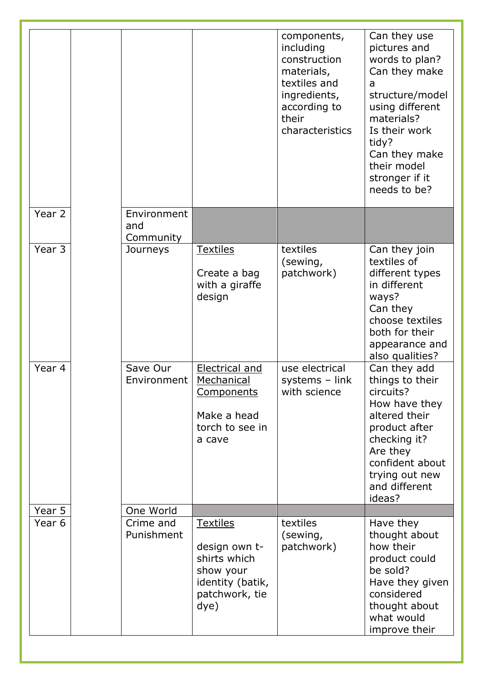|        |                         |             |                                                                                                             | components,<br>including<br>construction<br>materials,<br>textiles and<br>ingredients,<br>according to<br>their<br>characteristics | Can they use<br>pictures and<br>words to plan?<br>Can they make<br>a<br>structure/model<br>using different<br>materials?<br>Is their work<br>tidy?<br>Can they make<br>their model<br>stronger if it<br>needs to be? |
|--------|-------------------------|-------------|-------------------------------------------------------------------------------------------------------------|------------------------------------------------------------------------------------------------------------------------------------|----------------------------------------------------------------------------------------------------------------------------------------------------------------------------------------------------------------------|
| Year 2 | and<br>Community        | Environment |                                                                                                             |                                                                                                                                    |                                                                                                                                                                                                                      |
| Year 3 | Journeys                |             | <b>Textiles</b><br>Create a bag<br>with a giraffe<br>design                                                 | textiles<br>(sewing,<br>patchwork)                                                                                                 | Can they join<br>textiles of<br>different types<br>in different<br>ways?<br>Can they<br>choose textiles<br>both for their<br>appearance and<br>also qualities?                                                       |
| Year 4 | Save Our                | Environment | Electrical and<br><b>Mechanical</b><br><b>Components</b><br>Make a head<br>torch to see in<br>a cave        | use electrical<br>systems - link<br>with science                                                                                   | Can they add<br>things to their<br>circuits?<br>How have they<br>altered their<br>product after<br>checking it?<br>Are they<br>confident about<br>trying out new<br>and different<br>ideas?                          |
| Year 5 | One World               |             |                                                                                                             |                                                                                                                                    |                                                                                                                                                                                                                      |
| Year 6 | Crime and<br>Punishment |             | <b>Textiles</b><br>design own t-<br>shirts which<br>show your<br>identity (batik,<br>patchwork, tie<br>dye) | textiles<br>(sewing,<br>patchwork)                                                                                                 | Have they<br>thought about<br>how their<br>product could<br>be sold?<br>Have they given<br>considered<br>thought about<br>what would<br>improve their                                                                |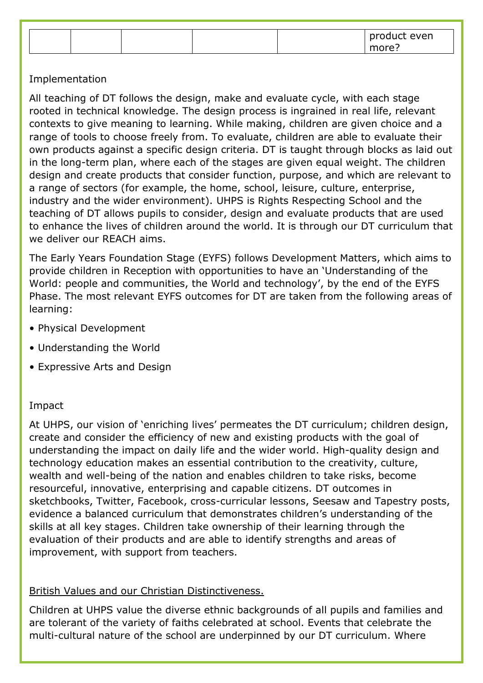|  |  | product even |
|--|--|--------------|
|  |  | more:        |

#### Implementation

All teaching of DT follows the design, make and evaluate cycle, with each stage rooted in technical knowledge. The design process is ingrained in real life, relevant contexts to give meaning to learning. While making, children are given choice and a range of tools to choose freely from. To evaluate, children are able to evaluate their own products against a specific design criteria. DT is taught through blocks as laid out in the long-term plan, where each of the stages are given equal weight. The children design and create products that consider function, purpose, and which are relevant to a range of sectors (for example, the home, school, leisure, culture, enterprise, industry and the wider environment). UHPS is Rights Respecting School and the teaching of DT allows pupils to consider, design and evaluate products that are used to enhance the lives of children around the world. It is through our DT curriculum that we deliver our REACH aims.

The Early Years Foundation Stage (EYFS) follows Development Matters, which aims to provide children in Reception with opportunities to have an 'Understanding of the World: people and communities, the World and technology', by the end of the EYFS Phase. The most relevant EYFS outcomes for DT are taken from the following areas of learning:

- Physical Development
- Understanding the World
- Expressive Arts and Design

## Impact

At UHPS, our vision of 'enriching lives' permeates the DT curriculum; children design, create and consider the efficiency of new and existing products with the goal of understanding the impact on daily life and the wider world. High-quality design and technology education makes an essential contribution to the creativity, culture, wealth and well-being of the nation and enables children to take risks, become resourceful, innovative, enterprising and capable citizens. DT outcomes in sketchbooks, Twitter, Facebook, cross-curricular lessons, Seesaw and Tapestry posts, evidence a balanced curriculum that demonstrates children's understanding of the skills at all key stages. Children take ownership of their learning through the evaluation of their products and are able to identify strengths and areas of improvement, with support from teachers.

#### British Values and our Christian Distinctiveness.

Children at UHPS value the diverse ethnic backgrounds of all pupils and families and are tolerant of the variety of faiths celebrated at school. Events that celebrate the multi-cultural nature of the school are underpinned by our DT curriculum. Where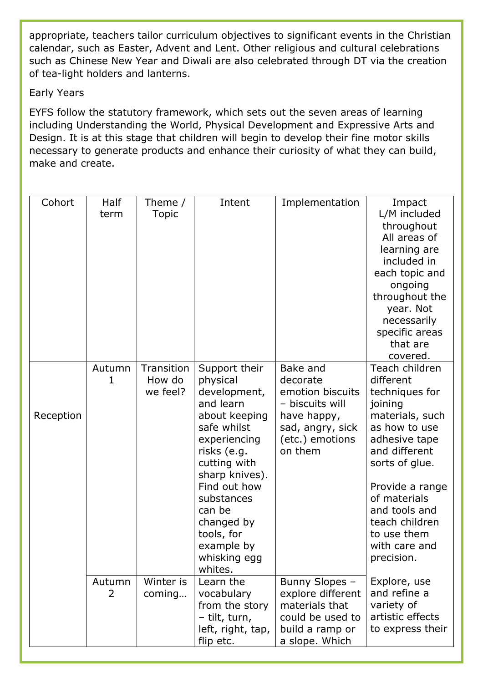appropriate, teachers tailor curriculum objectives to significant events in the Christian calendar, such as Easter, Advent and Lent. Other religious and cultural celebrations such as Chinese New Year and Diwali are also celebrated through DT via the creation of tea-light holders and lanterns.

### Early Years

EYFS follow the statutory framework, which sets out the seven areas of learning including Understanding the World, Physical Development and Expressive Arts and Design. It is at this stage that children will begin to develop their fine motor skills necessary to generate products and enhance their curiosity of what they can build, make and create.

| Cohort    | Half<br>term             | Theme /<br><b>Topic</b>          | Intent                                                                                                                                                                                                                                                               | Implementation                                                                                                               | Impact<br>L/M included<br>throughout<br>All areas of<br>learning are<br>included in<br>each topic and<br>ongoing<br>throughout the<br>year. Not<br>necessarily<br>specific areas<br>that are<br>covered.                                                             |
|-----------|--------------------------|----------------------------------|----------------------------------------------------------------------------------------------------------------------------------------------------------------------------------------------------------------------------------------------------------------------|------------------------------------------------------------------------------------------------------------------------------|----------------------------------------------------------------------------------------------------------------------------------------------------------------------------------------------------------------------------------------------------------------------|
| Reception | Autumn<br>1              | Transition<br>How do<br>we feel? | Support their<br>physical<br>development,<br>and learn<br>about keeping<br>safe whilst<br>experiencing<br>risks (e.g.<br>cutting with<br>sharp knives).<br>Find out how<br>substances<br>can be<br>changed by<br>tools, for<br>example by<br>whisking egg<br>whites. | Bake and<br>decorate<br>emotion biscuits<br>- biscuits will<br>have happy,<br>sad, angry, sick<br>(etc.) emotions<br>on them | Teach children<br>different<br>techniques for<br>joining<br>materials, such<br>as how to use<br>adhesive tape<br>and different<br>sorts of glue.<br>Provide a range<br>of materials<br>and tools and<br>teach children<br>to use them<br>with care and<br>precision. |
|           | Autumn<br>$\overline{2}$ | Winter is<br>coming              | Learn the<br>vocabulary<br>from the story<br>- tilt, turn,<br>left, right, tap,<br>flip etc.                                                                                                                                                                         | Bunny Slopes -<br>explore different<br>materials that<br>could be used to<br>build a ramp or<br>a slope. Which               | Explore, use<br>and refine a<br>variety of<br>artistic effects<br>to express their                                                                                                                                                                                   |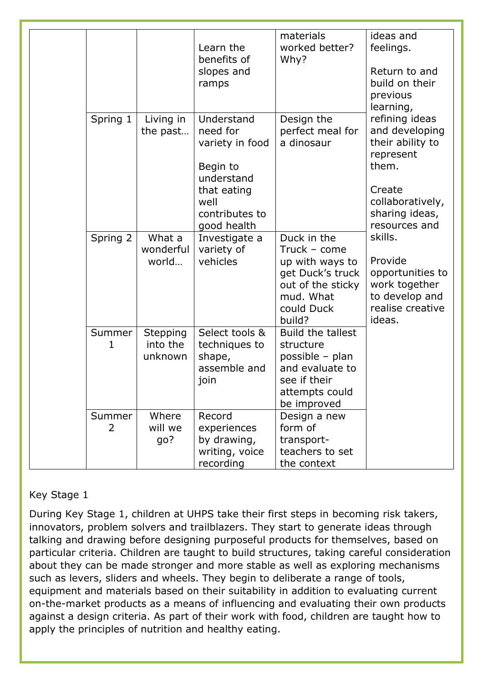|  |             |                                        | Learn the<br>benefits of<br>slopes and<br>ramps                                                                             | materials<br>worked better?<br>Why?                                                                                          | ideas and<br>feelings.<br>Return to and<br>build on their<br>previous<br>learning,                                                                                                                                                                     |
|--|-------------|----------------------------------------|-----------------------------------------------------------------------------------------------------------------------------|------------------------------------------------------------------------------------------------------------------------------|--------------------------------------------------------------------------------------------------------------------------------------------------------------------------------------------------------------------------------------------------------|
|  | Spring 1    | Living in<br>the past                  | Understand<br>need for<br>variety in food<br>Begin to<br>understand<br>that eating<br>well<br>contributes to<br>good health | Design the<br>perfect meal for<br>a dinosaur                                                                                 | refining ideas<br>and developing<br>their ability to<br>represent<br>them.<br>Create<br>collaboratively,<br>sharing ideas,<br>resources and<br>skills.<br>Provide<br>opportunities to<br>work together<br>to develop and<br>realise creative<br>ideas. |
|  | Spring 2    | What a<br>wonderful<br>world           | Investigate a<br>variety of<br>vehicles                                                                                     | Duck in the<br>Truck - come<br>up with ways to<br>get Duck's truck<br>out of the sticky<br>mud. What<br>could Duck<br>build? |                                                                                                                                                                                                                                                        |
|  | Summer<br>1 | <b>Stepping</b><br>into the<br>unknown | Select tools &<br>techniques to<br>shape,<br>assemble and<br>join                                                           | <b>Build the tallest</b><br>structure<br>possible - plan<br>and evaluate to<br>see if their<br>attempts could<br>be improved |                                                                                                                                                                                                                                                        |
|  | Summer<br>2 | Where<br>will we<br>go?                | Record<br>experiences<br>by drawing,<br>writing, voice<br>recording                                                         | Design a new<br>form of<br>transport-<br>teachers to set<br>the context                                                      |                                                                                                                                                                                                                                                        |

#### Key Stage 1

During Key Stage 1, children at UHPS take their first steps in becoming risk takers, innovators, problem solvers and trailblazers. They start to generate ideas through talking and drawing before designing purposeful products for themselves, based on particular criteria. Children are taught to build structures, taking careful consideration about they can be made stronger and more stable as well as exploring mechanisms such as levers, sliders and wheels. They begin to deliberate a range of tools, equipment and materials based on their suitability in addition to evaluating current on-the-market products as a means of influencing and evaluating their own products against a design criteria. As part of their work with food, children are taught how to apply the principles of nutrition and healthy eating.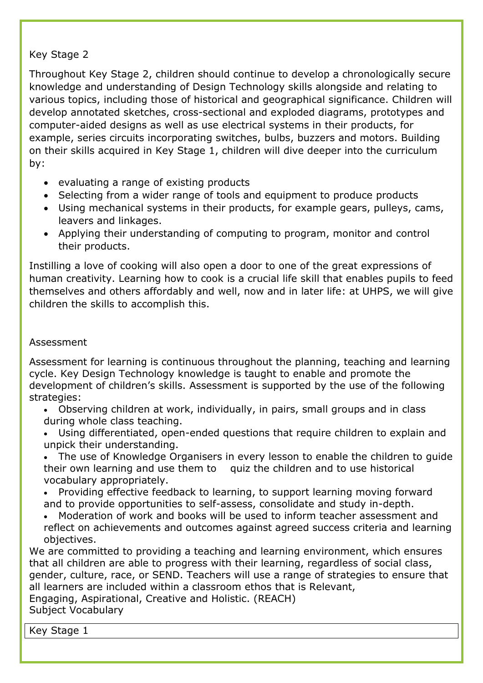#### Key Stage 2

Throughout Key Stage 2, children should continue to develop a chronologically secure knowledge and understanding of Design Technology skills alongside and relating to various topics, including those of historical and geographical significance. Children will develop annotated sketches, cross-sectional and exploded diagrams, prototypes and computer-aided designs as well as use electrical systems in their products, for example, series circuits incorporating switches, bulbs, buzzers and motors. Building on their skills acquired in Key Stage 1, children will dive deeper into the curriculum by:

- evaluating a range of existing products
- Selecting from a wider range of tools and equipment to produce products
- Using mechanical systems in their products, for example gears, pulleys, cams, leavers and linkages.
- Applying their understanding of computing to program, monitor and control their products.

Instilling a love of cooking will also open a door to one of the great expressions of human creativity. Learning how to cook is a crucial life skill that enables pupils to feed themselves and others affordably and well, now and in later life: at UHPS, we will give children the skills to accomplish this.

#### Assessment

Assessment for learning is continuous throughout the planning, teaching and learning cycle. Key Design Technology knowledge is taught to enable and promote the development of children's skills. Assessment is supported by the use of the following strategies:

- Observing children at work, individually, in pairs, small groups and in class during whole class teaching.
- Using differentiated, open-ended questions that require children to explain and unpick their understanding.
- The use of Knowledge Organisers in every lesson to enable the children to guide their own learning and use them to quiz the children and to use historical vocabulary appropriately.
- Providing effective feedback to learning, to support learning moving forward and to provide opportunities to self-assess, consolidate and study in-depth.
- Moderation of work and books will be used to inform teacher assessment and reflect on achievements and outcomes against agreed success criteria and learning objectives.

We are committed to providing a teaching and learning environment, which ensures that all children are able to progress with their learning, regardless of social class, gender, culture, race, or SEND. Teachers will use a range of strategies to ensure that all learners are included within a classroom ethos that is Relevant,

Engaging, Aspirational, Creative and Holistic. (REACH)

Subject Vocabulary

Key Stage 1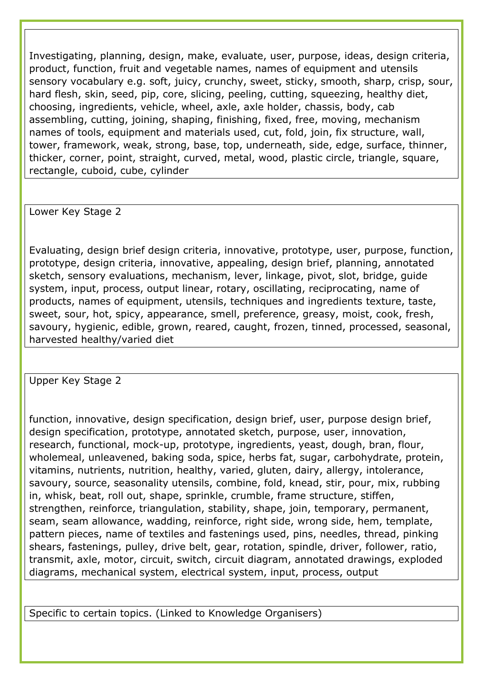Investigating, planning, design, make, evaluate, user, purpose, ideas, design criteria, product, function, fruit and vegetable names, names of equipment and utensils sensory vocabulary e.g. soft, juicy, crunchy, sweet, sticky, smooth, sharp, crisp, sour, hard flesh, skin, seed, pip, core, slicing, peeling, cutting, squeezing, healthy diet, choosing, ingredients, vehicle, wheel, axle, axle holder, chassis, body, cab assembling, cutting, joining, shaping, finishing, fixed, free, moving, mechanism names of tools, equipment and materials used, cut, fold, join, fix structure, wall, tower, framework, weak, strong, base, top, underneath, side, edge, surface, thinner, thicker, corner, point, straight, curved, metal, wood, plastic circle, triangle, square, rectangle, cuboid, cube, cylinder

Lower Key Stage 2

Evaluating, design brief design criteria, innovative, prototype, user, purpose, function, prototype, design criteria, innovative, appealing, design brief, planning, annotated sketch, sensory evaluations, mechanism, lever, linkage, pivot, slot, bridge, guide system, input, process, output linear, rotary, oscillating, reciprocating, name of products, names of equipment, utensils, techniques and ingredients texture, taste, sweet, sour, hot, spicy, appearance, smell, preference, greasy, moist, cook, fresh, savoury, hygienic, edible, grown, reared, caught, frozen, tinned, processed, seasonal, harvested healthy/varied diet

Upper Key Stage 2

function, innovative, design specification, design brief, user, purpose design brief, design specification, prototype, annotated sketch, purpose, user, innovation, research, functional, mock-up, prototype, ingredients, yeast, dough, bran, flour, wholemeal, unleavened, baking soda, spice, herbs fat, sugar, carbohydrate, protein, vitamins, nutrients, nutrition, healthy, varied, gluten, dairy, allergy, intolerance, savoury, source, seasonality utensils, combine, fold, knead, stir, pour, mix, rubbing in, whisk, beat, roll out, shape, sprinkle, crumble, frame structure, stiffen, strengthen, reinforce, triangulation, stability, shape, join, temporary, permanent, seam, seam allowance, wadding, reinforce, right side, wrong side, hem, template, pattern pieces, name of textiles and fastenings used, pins, needles, thread, pinking shears, fastenings, pulley, drive belt, gear, rotation, spindle, driver, follower, ratio, transmit, axle, motor, circuit, switch, circuit diagram, annotated drawings, exploded diagrams, mechanical system, electrical system, input, process, output

Specific to certain topics. (Linked to Knowledge Organisers)